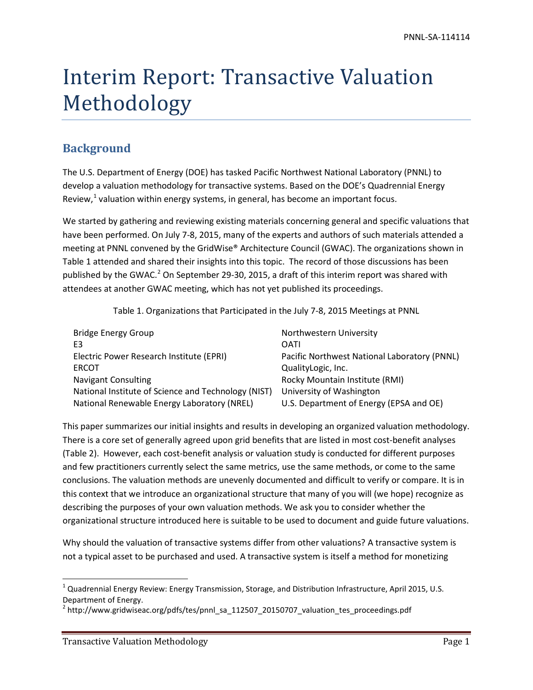# Interim Report: Transactive Valuation Methodology

# **Background**

The U.S. Department of Energy (DOE) has tasked Pacific Northwest National Laboratory (PNNL) to develop a valuation methodology for transactive systems. Based on the DOE's Quadrennial Energy Review, $1$  valuation within energy systems, in general, has become an important focus.

We started by gathering and reviewing existing materials concerning general and specific valuations that have been performed. On July 7-8, 2015, many of the experts and authors of such materials attended a meeting at PNNL convened by the GridWise® Architecture Council (GWAC). The organizations shown in [Table 1](#page-0-0) attended and shared their insights into this topic. The record of those discussions has been published by the GWAC.<sup>[2](#page-0-2)</sup> On September 29-30, 2015, a draft of this interim report was shared with attendees at another GWAC meeting, which has not yet published its proceedings.

Table 1. Organizations that Participated in the July 7-8, 2015 Meetings at PNNL

<span id="page-0-0"></span>

| <b>Bridge Energy Group</b>                          | Northwestern University                      |
|-----------------------------------------------------|----------------------------------------------|
| E3                                                  | OATI                                         |
| Electric Power Research Institute (EPRI)            | Pacific Northwest National Laboratory (PNNL) |
| <b>ERCOT</b>                                        | QualityLogic, Inc.                           |
| <b>Navigant Consulting</b>                          | Rocky Mountain Institute (RMI)               |
| National Institute of Science and Technology (NIST) | University of Washington                     |
| National Renewable Energy Laboratory (NREL)         | U.S. Department of Energy (EPSA and OE)      |

This paper summarizes our initial insights and results in developing an organized valuation methodology. There is a core set of generally agreed upon grid benefits that are listed in most cost-benefit analyses (Table 2). However, each cost-benefit analysis or valuation study is conducted for different purposes and few practitioners currently select the same metrics, use the same methods, or come to the same conclusions. The valuation methods are unevenly documented and difficult to verify or compare. It is in this context that we introduce an organizational structure that many of you will (we hope) recognize as describing the purposes of your own valuation methods. We ask you to consider whether the organizational structure introduced here is suitable to be used to document and guide future valuations.

Why should the valuation of transactive systems differ from other valuations? A transactive system is not a typical asset to be purchased and used. A transactive system is itself a method for monetizing

<span id="page-0-1"></span> $1$  Quadrennial Energy Review: Energy Transmission, Storage, and Distribution Infrastructure, April 2015, U.S. Department of Energy.

<span id="page-0-2"></span><sup>&</sup>lt;sup>2</sup> http://www.gridwiseac.org/pdfs/tes/pnnl\_sa\_112507\_20150707\_valuation\_tes\_proceedings.pdf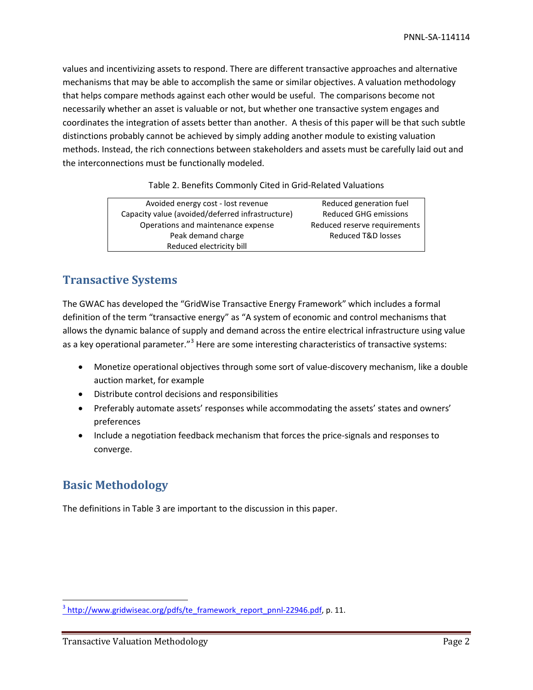values and incentivizing assets to respond. There are different transactive approaches and alternative mechanisms that may be able to accomplish the same or similar objectives. A valuation methodology that helps compare methods against each other would be useful. The comparisons become not necessarily whether an asset is valuable or not, but whether one transactive system engages and coordinates the integration of assets better than another. A thesis of this paper will be that such subtle distinctions probably cannot be achieved by simply adding another module to existing valuation methods. Instead, the rich connections between stakeholders and assets must be carefully laid out and the interconnections must be functionally modeled.

Table 2. Benefits Commonly Cited in Grid-Related Valuations

| Avoided energy cost - lost revenue               | Reduced generation fuel      |
|--------------------------------------------------|------------------------------|
| Capacity value (avoided/deferred infrastructure) | <b>Reduced GHG emissions</b> |
| Operations and maintenance expense               | Reduced reserve requirements |
| Peak demand charge                               | Reduced T&D losses           |
| Reduced electricity bill                         |                              |
|                                                  |                              |

# **Transactive Systems**

The GWAC has developed the "GridWise Transactive Energy Framework" which includes a formal definition of the term "transactive energy" as "A system of economic and control mechanisms that allows the dynamic balance of supply and demand across the entire electrical infrastructure using value as a key operational parameter."<sup>[3](#page-1-0)</sup> Here are some interesting characteristics of transactive systems:

- Monetize operational objectives through some sort of value-discovery mechanism, like a double auction market, for example
- Distribute control decisions and responsibilities
- Preferably automate assets' responses while accommodating the assets' states and owners' preferences
- Include a negotiation feedback mechanism that forces the price-signals and responses to converge.

# **Basic Methodology**

The definitions in Table 3 are important to the discussion in this paper.

<span id="page-1-0"></span> $3$  [http://www.gridwiseac.org/pdfs/te\\_framework\\_report\\_pnnl-22946.pdf,](http://www.gridwiseac.org/pdfs/te_framework_report_pnnl-22946.pdf) p. 11.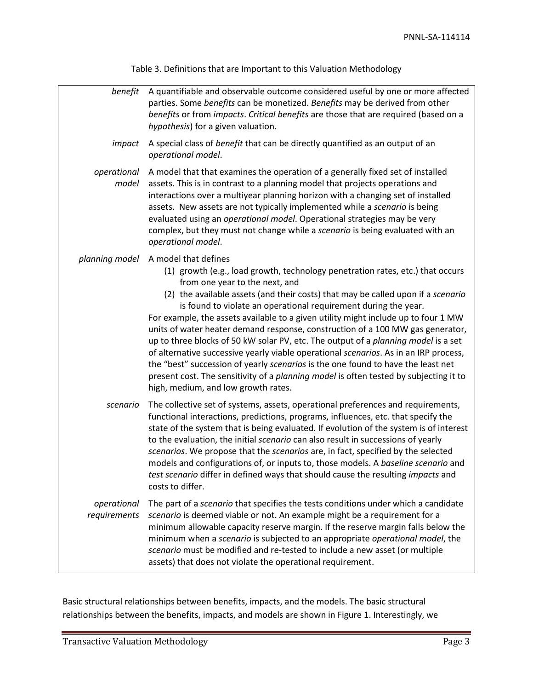*benefit* A quantifiable and observable outcome considered useful by one or more affected parties. Some *benefits* can be monetized. *Benefits* may be derived from other *benefits* or from *impacts*. *Critical benefits* are those that are required (based on a *hypothesis*) for a given valuation. *impact* A special class of *benefit* that can be directly quantified as an output of an *operational model*. *operational*  A model that that examines the operation of a generally fixed set of installed *model* assets. This is in contrast to a planning model that projects operations and interactions over a multiyear planning horizon with a changing set of installed assets. New assets are not typically implemented while a *scenario* is being evaluated using an *operational model*. Operational strategies may be very complex, but they must not change while a *scenario* is being evaluated with an *operational model*. *planning model* A model that defines (1) growth (e.g., load growth, technology penetration rates, etc.) that occurs from one year to the next, and (2) the available assets (and their costs) that may be called upon if a *scenario* is found to violate an operational requirement during the year. For example, the assets available to a given utility might include up to four 1 MW units of water heater demand response, construction of a 100 MW gas generator, up to three blocks of 50 kW solar PV, etc. The output of a *planning model* is a set of alternative successive yearly viable operational *scenarios*. As in an IRP process, the "best" succession of yearly *scenarios* is the one found to have the least net present cost. The sensitivity of a *planning model* is often tested by subjecting it to high, medium, and low growth rates. *scenario* The collective set of systems, assets, operational preferences and requirements, functional interactions, predictions, programs, influences, etc. that specify the state of the system that is being evaluated. If evolution of the system is of interest to the evaluation, the initial *scenario* can also result in successions of yearly *scenarios*. We propose that the *scenarios* are, in fact, specified by the selected models and configurations of, or inputs to, those models. A *baseline scenario* and *test scenario* differ in defined ways that should cause the resulting *impacts* and costs to differ. *operational*  The part of a *scenario* that specifies the tests conditions under which a candidate *requirements scenario* is deemed viable or not. An example might be a requirement for a minimum allowable capacity reserve margin. If the reserve margin falls below the minimum when a *scenario* is subjected to an appropriate *operational model*, the *scenario* must be modified and re-tested to include a new asset (or multiple assets) that does not violate the operational requirement.

Table 3. Definitions that are Important to this Valuation Methodology

Basic structural relationships between benefits, impacts, and the models. The basic structural relationships between the benefits, impacts, and models are shown in Figure 1. Interestingly, we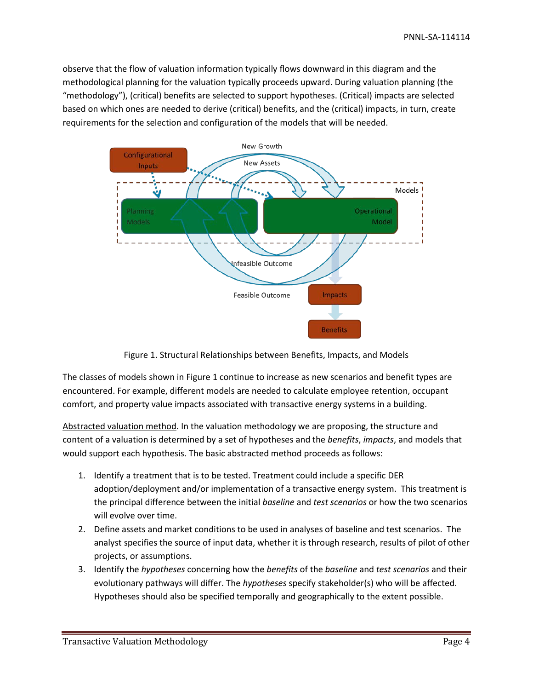observe that the flow of valuation information typically flows downward in this diagram and the methodological planning for the valuation typically proceeds upward. During valuation planning (the "methodology"), (critical) benefits are selected to support hypotheses. (Critical) impacts are selected based on which ones are needed to derive (critical) benefits, and the (critical) impacts, in turn, create requirements for the selection and configuration of the models that will be needed.



Figure 1. Structural Relationships between Benefits, Impacts, and Models

The classes of models shown in Figure 1 continue to increase as new scenarios and benefit types are encountered. For example, different models are needed to calculate employee retention, occupant comfort, and property value impacts associated with transactive energy systems in a building.

Abstracted valuation method. In the valuation methodology we are proposing, the structure and content of a valuation is determined by a set of hypotheses and the *benefits*, *impacts*, and models that would support each hypothesis. The basic abstracted method proceeds as follows:

- 1. Identify a treatment that is to be tested. Treatment could include a specific DER adoption/deployment and/or implementation of a transactive energy system. This treatment is the principal difference between the initial *baseline* and *test scenarios* or how the two scenarios will evolve over time.
- 2. Define assets and market conditions to be used in analyses of baseline and test scenarios. The analyst specifies the source of input data, whether it is through research, results of pilot of other projects, or assumptions.
- 3. Identify the *hypotheses* concerning how the *benefits* of the *baseline* and *test scenarios* and their evolutionary pathways will differ. The *hypotheses* specify stakeholder(s) who will be affected. Hypotheses should also be specified temporally and geographically to the extent possible.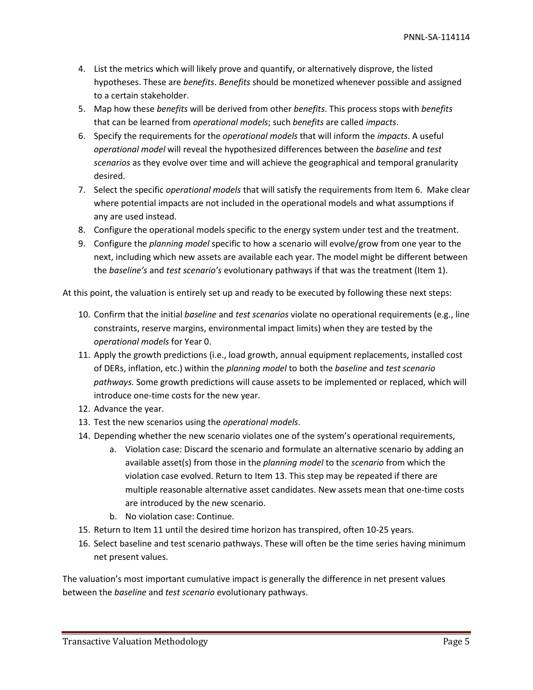- 4. List the metrics which will likely prove and quantify, or alternatively disprove, the listed hypotheses. These are *benefits*. *Benefits* should be monetized whenever possible and assigned to a certain stakeholder.
- 5. Map how these *benefits* will be derived from other *benefits*. This process stops with *benefits* that can be learned from *operational models*; such *benefits* are called *impacts*.
- 6. Specify the requirements for the *operational models* that will inform the *impacts*. A useful *operational model* will reveal the hypothesized differences between the *baseline* and *test scenarios* as they evolve over time and will achieve the geographical and temporal granularity desired.
- 7. Select the specific *operational models* that will satisfy the requirements from Item 6. Make clear where potential impacts are not included in the operational models and what assumptions if any are used instead.
- 8. Configure the operational models specific to the energy system under test and the treatment.
- 9. Configure the *planning model* specific to how a scenario will evolve/grow from one year to the next, including which new assets are available each year. The model might be different between the *baseline's* and *test scenario's* evolutionary pathways if that was the treatment (Item 1).

At this point, the valuation is entirely set up and ready to be executed by following these next steps:

- 10. Confirm that the initial *baseline* and *test scenarios* violate no operational requirements (e.g., line constraints, reserve margins, environmental impact limits) when they are tested by the *operational models* for Year 0.
- 11. Apply the growth predictions (i.e., load growth, annual equipment replacements, installed cost of DERs, inflation, etc.) within the *planning model* to both the *baseline* and *test scenario pathways.* Some growth predictions will cause assets to be implemented or replaced, which will introduce one-time costs for the new year.
- 12. Advance the year.
- 13. Test the new scenarios using the *operational models*.
- 14. Depending whether the new scenario violates one of the system's operational requirements,
	- a. Violation case: Discard the scenario and formulate an alternative scenario by adding an available asset(s) from those in the *planning model* to the *scenario* from which the violation case evolved. Return to Item 13. This step may be repeated if there are multiple reasonable alternative asset candidates. New assets mean that one-time costs are introduced by the new scenario.
	- b. No violation case: Continue.
- 15. Return to Item 11 until the desired time horizon has transpired, often 10-25 years.
- 16. Select baseline and test scenario pathways. These will often be the time series having minimum net present values.

The valuation's most important cumulative impact is generally the difference in net present values between the *baseline* and *test scenario* evolutionary pathways.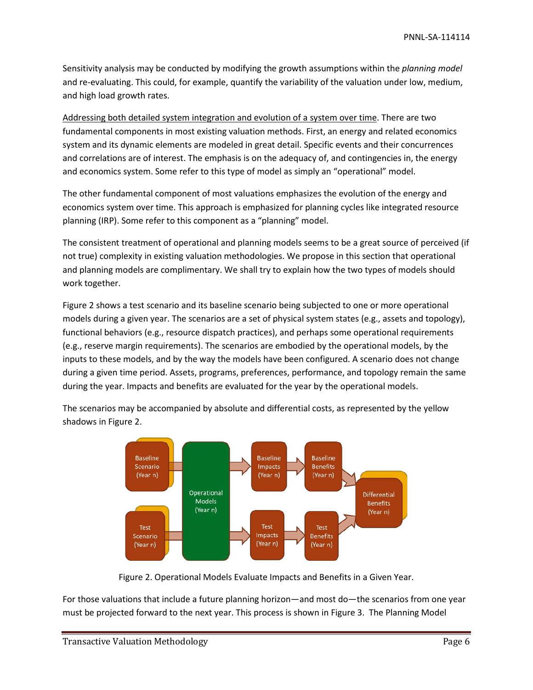Sensitivity analysis may be conducted by modifying the growth assumptions within the *planning model* and re-evaluating. This could, for example, quantify the variability of the valuation under low, medium, and high load growth rates.

Addressing both detailed system integration and evolution of a system over time. There are two fundamental components in most existing valuation methods. First, an energy and related economics system and its dynamic elements are modeled in great detail. Specific events and their concurrences and correlations are of interest. The emphasis is on the adequacy of, and contingencies in, the energy and economics system. Some refer to this type of model as simply an "operational" model.

The other fundamental component of most valuations emphasizes the evolution of the energy and economics system over time. This approach is emphasized for planning cycles like integrated resource planning (IRP). Some refer to this component as a "planning" model.

The consistent treatment of operational and planning models seems to be a great source of perceived (if not true) complexity in existing valuation methodologies. We propose in this section that operational and planning models are complimentary. We shall try to explain how the two types of models should work together.

[Figure 2](#page-5-0) shows a test scenario and its baseline scenario being subjected to one or more operational models during a given year. The scenarios are a set of physical system states (e.g., assets and topology), functional behaviors (e.g., resource dispatch practices), and perhaps some operational requirements (e.g., reserve margin requirements). The scenarios are embodied by the operational models, by the inputs to these models, and by the way the models have been configured. A scenario does not change during a given time period. Assets, programs, preferences, performance, and topology remain the same during the year. Impacts and benefits are evaluated for the year by the operational models.

The scenarios may be accompanied by absolute and differential costs, as represented by the yellow shadows i[n Figure 2.](#page-5-0)



Figure 2. Operational Models Evaluate Impacts and Benefits in a Given Year.

<span id="page-5-0"></span>For those valuations that include a future planning horizon—and most do—the scenarios from one year must be projected forward to the next year. This process is shown in [Figure 3.](#page-6-0) The Planning Model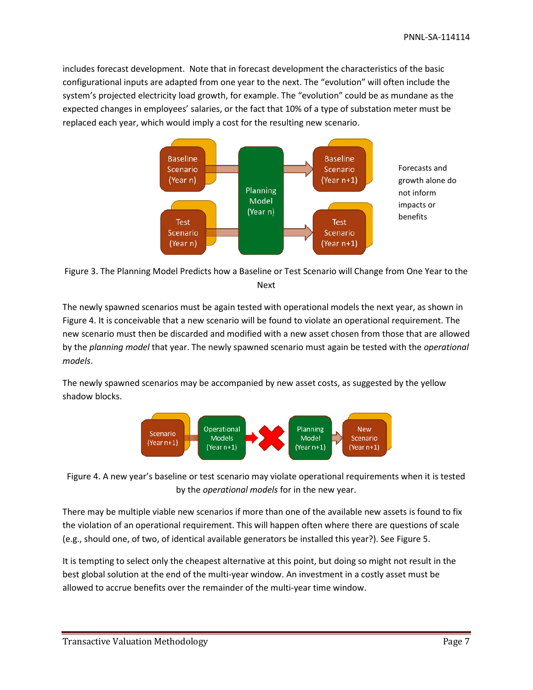includes forecast development. Note that in forecast development the characteristics of the basic configurational inputs are adapted from one year to the next. The "evolution" will often include the system's projected electricity load growth, for example. The "evolution" could be as mundane as the expected changes in employees' salaries, or the fact that 10% of a type of substation meter must be replaced each year, which would imply a cost for the resulting new scenario.



<span id="page-6-0"></span>

The newly spawned scenarios must be again tested with operational models the next year, as shown in [Figure 4.](#page-6-1) It is conceivable that a new scenario will be found to violate an operational requirement. The new scenario must then be discarded and modified with a new asset chosen from those that are allowed by the *planning model* that year. The newly spawned scenario must again be tested with the *operational models*.

The newly spawned scenarios may be accompanied by new asset costs, as suggested by the yellow shadow blocks.



<span id="page-6-1"></span>Figure 4. A new year's baseline or test scenario may violate operational requirements when it is tested by the *operational models* for in the new year.

There may be multiple viable new scenarios if more than one of the available new assets is found to fix the violation of an operational requirement. This will happen often where there are questions of scale (e.g., should one, of two, of identical available generators be installed this year?). See [Figure 5.](#page-7-0)

It is tempting to select only the cheapest alternative at this point, but doing so might not result in the best global solution at the end of the multi-year window. An investment in a costly asset must be allowed to accrue benefits over the remainder of the multi-year time window.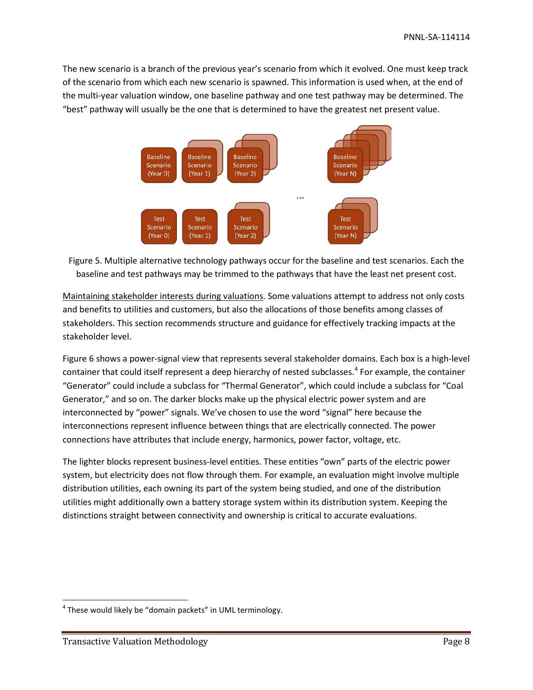The new scenario is a branch of the previous year's scenario from which it evolved. One must keep track of the scenario from which each new scenario is spawned. This information is used when, at the end of the multi-year valuation window, one baseline pathway and one test pathway may be determined. The "best" pathway will usually be the one that is determined to have the greatest net present value.



<span id="page-7-0"></span>Figure 5. Multiple alternative technology pathways occur for the baseline and test scenarios. Each the baseline and test pathways may be trimmed to the pathways that have the least net present cost.

Maintaining stakeholder interests during valuations. Some valuations attempt to address not only costs and benefits to utilities and customers, but also the allocations of those benefits among classes of stakeholders. This section recommends structure and guidance for effectively tracking impacts at the stakeholder level.

[Figure 6](#page-8-0) shows a power-signal view that represents several stakeholder domains. Each box is a high-level container that could itself represent a deep hierarchy of nested subclasses.<sup>[4](#page-7-1)</sup> For example, the container "Generator" could include a subclass for "Thermal Generator", which could include a subclass for "Coal Generator," and so on. The darker blocks make up the physical electric power system and are interconnected by "power" signals. We've chosen to use the word "signal" here because the interconnections represent influence between things that are electrically connected. The power connections have attributes that include energy, harmonics, power factor, voltage, etc.

The lighter blocks represent business-level entities. These entities "own" parts of the electric power system, but electricity does not flow through them. For example, an evaluation might involve multiple distribution utilities, each owning its part of the system being studied, and one of the distribution utilities might additionally own a battery storage system within its distribution system. Keeping the distinctions straight between connectivity and ownership is critical to accurate evaluations.

<span id="page-7-1"></span> $4$  These would likely be "domain packets" in UML terminology.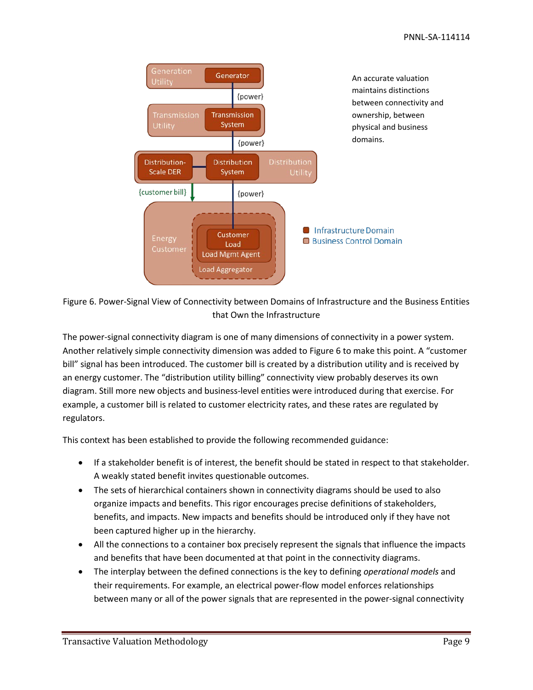

<span id="page-8-0"></span>Figure 6. Power-Signal View of Connectivity between Domains of Infrastructure and the Business Entities that Own the Infrastructure

The power-signal connectivity diagram is one of many dimensions of connectivity in a power system. Another relatively simple connectivity dimension was added t[o Figure 6](#page-8-0) to make this point. A "customer bill" signal has been introduced. The customer bill is created by a distribution utility and is received by an energy customer. The "distribution utility billing" connectivity view probably deserves its own diagram. Still more new objects and business-level entities were introduced during that exercise. For example, a customer bill is related to customer electricity rates, and these rates are regulated by regulators.

This context has been established to provide the following recommended guidance:

- If a stakeholder benefit is of interest, the benefit should be stated in respect to that stakeholder. A weakly stated benefit invites questionable outcomes.
- The sets of hierarchical containers shown in connectivity diagrams should be used to also organize impacts and benefits. This rigor encourages precise definitions of stakeholders, benefits, and impacts. New impacts and benefits should be introduced only if they have not been captured higher up in the hierarchy.
- All the connections to a container box precisely represent the signals that influence the impacts and benefits that have been documented at that point in the connectivity diagrams.
- The interplay between the defined connections is the key to defining *operational models* and their requirements. For example, an electrical power-flow model enforces relationships between many or all of the power signals that are represented in the power-signal connectivity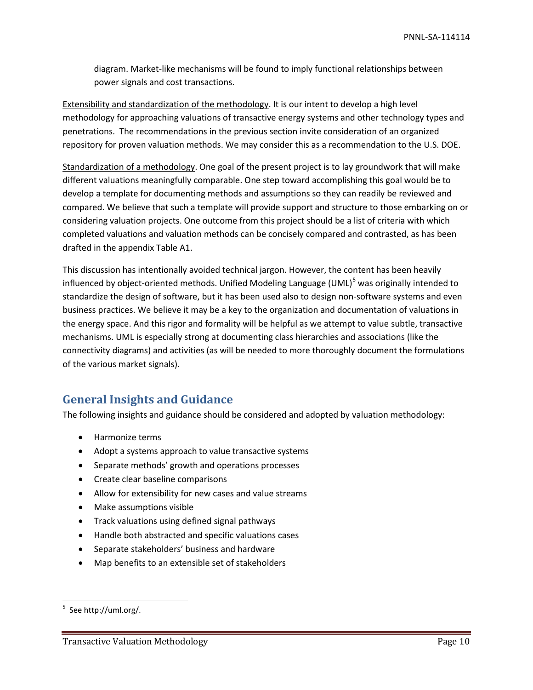diagram. Market-like mechanisms will be found to imply functional relationships between power signals and cost transactions.

Extensibility and standardization of the methodology. It is our intent to develop a high level methodology for approaching valuations of transactive energy systems and other technology types and penetrations. The recommendations in the previous section invite consideration of an organized repository for proven valuation methods. We may consider this as a recommendation to the U.S. DOE.

Standardization of a methodology. One goal of the present project is to lay groundwork that will make different valuations meaningfully comparable. One step toward accomplishing this goal would be to develop a template for documenting methods and assumptions so they can readily be reviewed and compared. We believe that such a template will provide support and structure to those embarking on or considering valuation projects. One outcome from this project should be a list of criteria with which completed valuations and valuation methods can be concisely compared and contrasted, as has been drafted in the appendix Table A1.

This discussion has intentionally avoided technical jargon. However, the content has been heavily influenced by object-oriented methods. Unified Modeling Language (UML)<sup>[5](#page-9-0)</sup> was originally intended to standardize the design of software, but it has been used also to design non-software systems and even business practices. We believe it may be a key to the organization and documentation of valuations in the energy space. And this rigor and formality will be helpful as we attempt to value subtle, transactive mechanisms. UML is especially strong at documenting class hierarchies and associations (like the connectivity diagrams) and activities (as will be needed to more thoroughly document the formulations of the various market signals).

# **General Insights and Guidance**

The following insights and guidance should be considered and adopted by valuation methodology:

- Harmonize terms
- Adopt a systems approach to value transactive systems
- Separate methods' growth and operations processes
- Create clear baseline comparisons
- Allow for extensibility for new cases and value streams
- Make assumptions visible
- Track valuations using defined signal pathways
- Handle both abstracted and specific valuations cases
- Separate stakeholders' business and hardware
- Map benefits to an extensible set of stakeholders

<span id="page-9-0"></span><sup>-&</sup>lt;br>5  $5$  See http://uml.org/.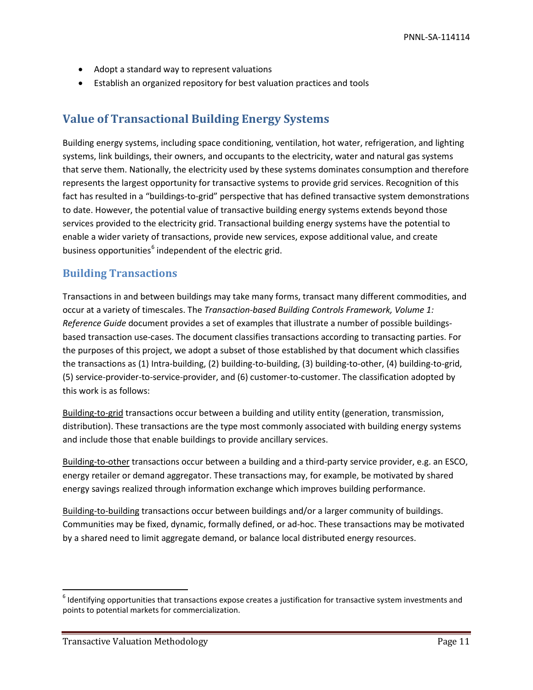- Adopt a standard way to represent valuations
- Establish an organized repository for best valuation practices and tools

# **Value of Transactional Building Energy Systems**

Building energy systems, including space conditioning, ventilation, hot water, refrigeration, and lighting systems, link buildings, their owners, and occupants to the electricity, water and natural gas systems that serve them. Nationally, the electricity used by these systems dominates consumption and therefore represents the largest opportunity for transactive systems to provide grid services. Recognition of this fact has resulted in a "buildings-to-grid" perspective that has defined transactive system demonstrations to date. However, the potential value of transactive building energy systems extends beyond those services provided to the electricity grid. Transactional building energy systems have the potential to enable a wider variety of transactions, provide new services, expose additional value, and create business opportunities<sup>[6](#page-10-0)</sup> independent of the electric grid.

## **Building Transactions**

Transactions in and between buildings may take many forms, transact many different commodities, and occur at a variety of timescales. The *Transaction-based Building Controls Framework, Volume 1: Reference Guide* document provides a set of examples that illustrate a number of possible buildingsbased transaction use-cases. The document classifies transactions according to transacting parties. For the purposes of this project, we adopt a subset of those established by that document which classifies the transactions as (1) Intra-building, (2) building-to-building, (3) building-to-other, (4) building-to-grid, (5) service-provider-to-service-provider, and (6) customer-to-customer. The classification adopted by this work is as follows:

Building-to-grid transactions occur between a building and utility entity (generation, transmission, distribution). These transactions are the type most commonly associated with building energy systems and include those that enable buildings to provide ancillary services.

Building-to-other transactions occur between a building and a third-party service provider, e.g. an ESCO, energy retailer or demand aggregator. These transactions may, for example, be motivated by shared energy savings realized through information exchange which improves building performance.

Building-to-building transactions occur between buildings and/or a larger community of buildings. Communities may be fixed, dynamic, formally defined, or ad-hoc. These transactions may be motivated by a shared need to limit aggregate demand, or balance local distributed energy resources.

<span id="page-10-0"></span> $6$  Identifying opportunities that transactions expose creates a justification for transactive system investments and points to potential markets for commercialization.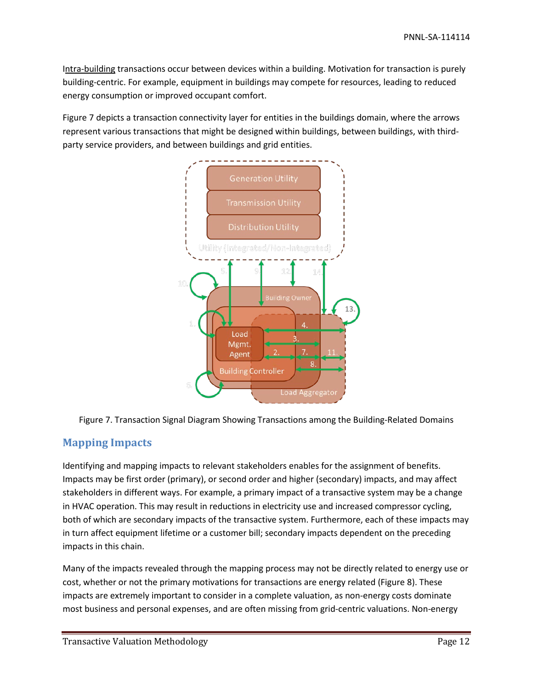Intra-building transactions occur between devices within a building. Motivation for transaction is purely building-centric. For example, equipment in buildings may compete for resources, leading to reduced energy consumption or improved occupant comfort.

[Figure 7](#page-11-0) depicts a transaction connectivity layer for entities in the buildings domain, where the arrows represent various transactions that might be designed within buildings, between buildings, with thirdparty service providers, and between buildings and grid entities.



<span id="page-11-0"></span>

# **Mapping Impacts**

Identifying and mapping impacts to relevant stakeholders enables for the assignment of benefits. Impacts may be first order (primary), or second order and higher (secondary) impacts, and may affect stakeholders in different ways. For example, a primary impact of a transactive system may be a change in HVAC operation. This may result in reductions in electricity use and increased compressor cycling, both of which are secondary impacts of the transactive system. Furthermore, each of these impacts may in turn affect equipment lifetime or a customer bill; secondary impacts dependent on the preceding impacts in this chain.

Many of the impacts revealed through the mapping process may not be directly related to energy use or cost, whether or not the primary motivations for transactions are energy related [\(Figure 8\)](#page-12-0). These impacts are extremely important to consider in a complete valuation, as non-energy costs dominate most business and personal expenses, and are often missing from grid-centric valuations. Non-energy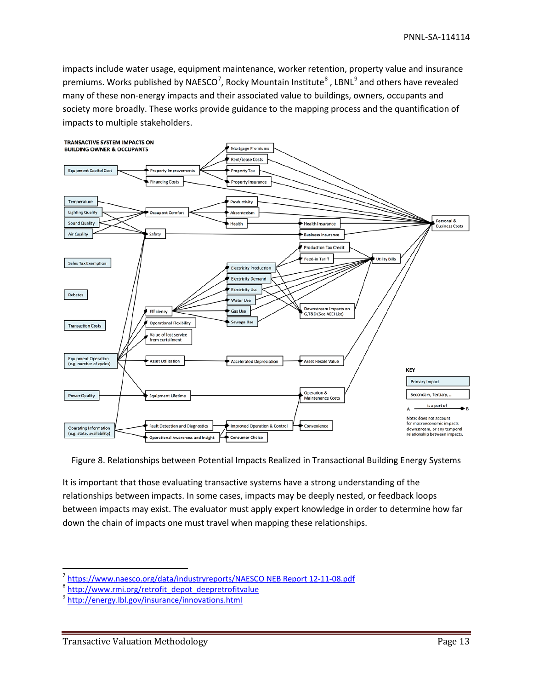impacts include water usage, equipment maintenance, worker retention, property value and insurance premiums. Works published by NAESCO<sup>[7](#page-12-1)</sup>, Rocky Mountain Institute<sup>[8](#page-12-2)</sup>, LBNL<sup>[9](#page-12-3)</sup> and others have revealed many of these non-energy impacts and their associated value to buildings, owners, occupants and society more broadly. These works provide guidance to the mapping process and the quantification of impacts to multiple stakeholders.



<span id="page-12-0"></span>Figure 8. Relationships between Potential Impacts Realized in Transactional Building Energy Systems

It is important that those evaluating transactive systems have a strong understanding of the relationships between impacts. In some cases, impacts may be deeply nested, or feedback loops between impacts may exist. The evaluator must apply expert knowledge in order to determine how far down the chain of impacts one must travel when mapping these relationships.

<span id="page-12-1"></span><sup>&</sup>lt;sup>7</sup> [https://www.naesco.org/data/industryreports/NAESCO NEB Report 12-11-08.pdf](https://www.naesco.org/data/industryreports/NAESCO%20NEB%20Report%2012-11-08.pdf)<br><sup>8</sup> [http://www.rmi.org/retrofit\\_depot\\_deepretrofitvalue](http://www.rmi.org/retrofit_depot_deepretrofitvalue)

<span id="page-12-2"></span>

<span id="page-12-3"></span><sup>&</sup>lt;sup>9</sup> <http://energy.lbl.gov/insurance/innovations.html>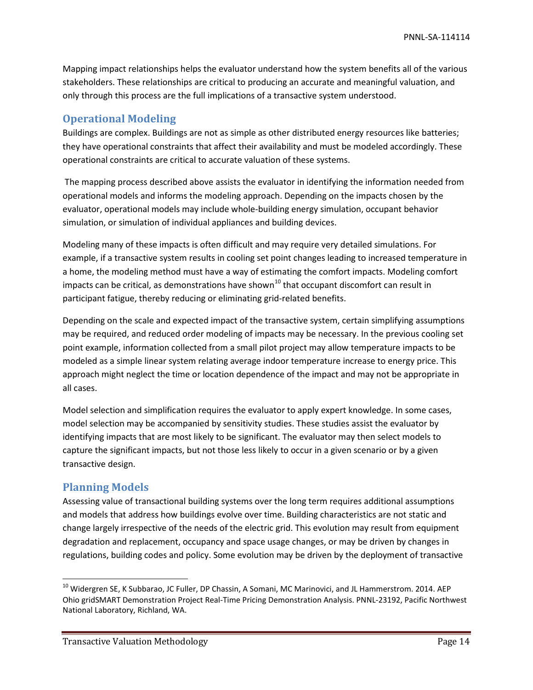Mapping impact relationships helps the evaluator understand how the system benefits all of the various stakeholders. These relationships are critical to producing an accurate and meaningful valuation, and only through this process are the full implications of a transactive system understood.

## **Operational Modeling**

Buildings are complex. Buildings are not as simple as other distributed energy resources like batteries; they have operational constraints that affect their availability and must be modeled accordingly. These operational constraints are critical to accurate valuation of these systems.

The mapping process described above assists the evaluator in identifying the information needed from operational models and informs the modeling approach. Depending on the impacts chosen by the evaluator, operational models may include whole-building energy simulation, occupant behavior simulation, or simulation of individual appliances and building devices.

Modeling many of these impacts is often difficult and may require very detailed simulations. For example, if a transactive system results in cooling set point changes leading to increased temperature in a home, the modeling method must have a way of estimating the comfort impacts. Modeling comfort impacts can be critical, as demonstrations have shown<sup>[10](#page-13-0)</sup> that occupant discomfort can result in participant fatigue, thereby reducing or eliminating grid-related benefits.

Depending on the scale and expected impact of the transactive system, certain simplifying assumptions may be required, and reduced order modeling of impacts may be necessary. In the previous cooling set point example, information collected from a small pilot project may allow temperature impacts to be modeled as a simple linear system relating average indoor temperature increase to energy price. This approach might neglect the time or location dependence of the impact and may not be appropriate in all cases.

Model selection and simplification requires the evaluator to apply expert knowledge. In some cases, model selection may be accompanied by sensitivity studies. These studies assist the evaluator by identifying impacts that are most likely to be significant. The evaluator may then select models to capture the significant impacts, but not those less likely to occur in a given scenario or by a given transactive design.

## **Planning Models**

Assessing value of transactional building systems over the long term requires additional assumptions and models that address how buildings evolve over time. Building characteristics are not static and change largely irrespective of the needs of the electric grid. This evolution may result from equipment degradation and replacement, occupancy and space usage changes, or may be driven by changes in regulations, building codes and policy. Some evolution may be driven by the deployment of transactive

<span id="page-13-0"></span><sup>&</sup>lt;sup>10</sup> Widergren SE, K Subbarao, JC Fuller, DP Chassin, A Somani, MC Marinovici, and JL Hammerstrom. 2014. AEP Ohio gridSMART Demonstration Project Real-Time Pricing Demonstration Analysis. PNNL-23192, Pacific Northwest National Laboratory, Richland, WA.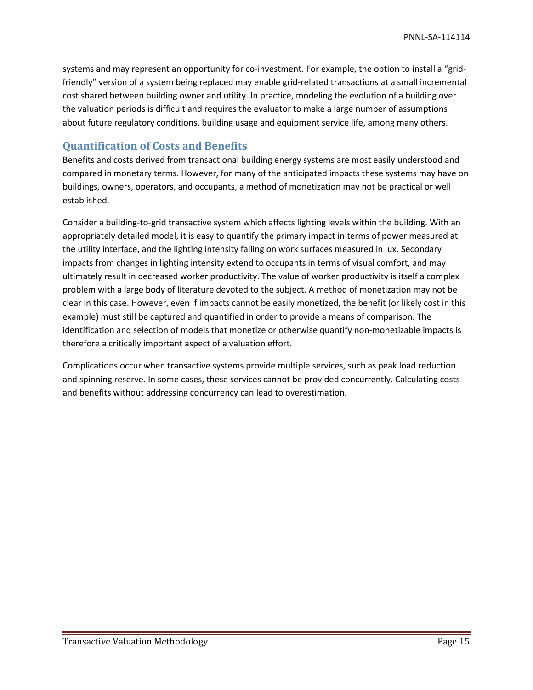systems and may represent an opportunity for co-investment. For example, the option to install a "gridfriendly" version of a system being replaced may enable grid-related transactions at a small incremental cost shared between building owner and utility. In practice, modeling the evolution of a building over the valuation periods is difficult and requires the evaluator to make a large number of assumptions about future regulatory conditions, building usage and equipment service life, among many others.

## **Quantification of Costs and Benefits**

Benefits and costs derived from transactional building energy systems are most easily understood and compared in monetary terms. However, for many of the anticipated impacts these systems may have on buildings, owners, operators, and occupants, a method of monetization may not be practical or well established.

Consider a building-to-grid transactive system which affects lighting levels within the building. With an appropriately detailed model, it is easy to quantify the primary impact in terms of power measured at the utility interface, and the lighting intensity falling on work surfaces measured in lux. Secondary impacts from changes in lighting intensity extend to occupants in terms of visual comfort, and may ultimately result in decreased worker productivity. The value of worker productivity is itself a complex problem with a large body of literature devoted to the subject. A method of monetization may not be clear in this case. However, even if impacts cannot be easily monetized, the benefit (or likely cost in this example) must still be captured and quantified in order to provide a means of comparison. The identification and selection of models that monetize or otherwise quantify non-monetizable impacts is therefore a critically important aspect of a valuation effort.

Complications occur when transactive systems provide multiple services, such as peak load reduction and spinning reserve. In some cases, these services cannot be provided concurrently. Calculating costs and benefits without addressing concurrency can lead to overestimation.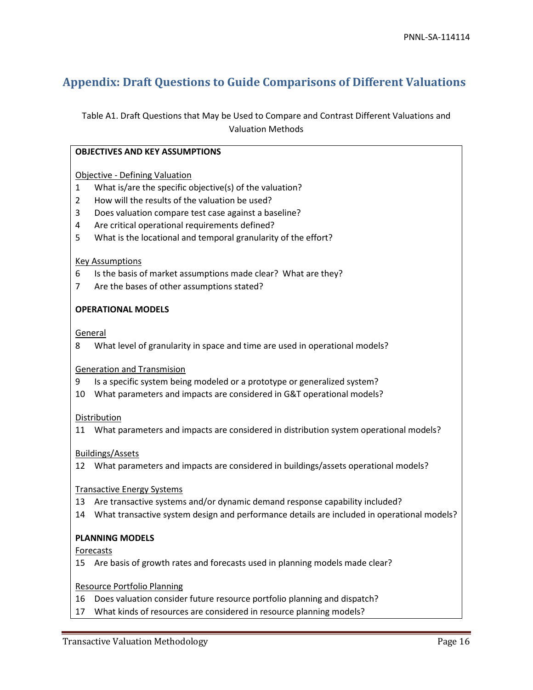# **Appendix: Draft Questions to Guide Comparisons of Different Valuations**

Table A1. Draft Questions that May be Used to Compare and Contrast Different Valuations and Valuation Methods

|                                   | <b>OBJECTIVES AND KEY ASSUMPTIONS</b>                                                         |  |
|-----------------------------------|-----------------------------------------------------------------------------------------------|--|
|                                   |                                                                                               |  |
|                                   | <b>Objective - Defining Valuation</b>                                                         |  |
| $\mathbf{1}$                      | What is/are the specific objective(s) of the valuation?                                       |  |
| 2                                 | How will the results of the valuation be used?                                                |  |
| 3                                 | Does valuation compare test case against a baseline?                                          |  |
| 4                                 | Are critical operational requirements defined?                                                |  |
| 5                                 | What is the locational and temporal granularity of the effort?                                |  |
| <b>Key Assumptions</b>            |                                                                                               |  |
| 6                                 | Is the basis of market assumptions made clear? What are they?                                 |  |
| 7                                 | Are the bases of other assumptions stated?                                                    |  |
|                                   | <b>OPERATIONAL MODELS</b>                                                                     |  |
|                                   | General                                                                                       |  |
| 8                                 | What level of granularity in space and time are used in operational models?                   |  |
| <b>Generation and Transmision</b> |                                                                                               |  |
| 9                                 | Is a specific system being modeled or a prototype or generalized system?                      |  |
| 10                                | What parameters and impacts are considered in G&T operational models?                         |  |
| Distribution                      |                                                                                               |  |
|                                   | 11 What parameters and impacts are considered in distribution system operational models?      |  |
| <b>Buildings/Assets</b>           |                                                                                               |  |
|                                   | 12 What parameters and impacts are considered in buildings/assets operational models?         |  |
|                                   | <b>Transactive Energy Systems</b>                                                             |  |
|                                   | 13 Are transactive systems and/or dynamic demand response capability included?                |  |
|                                   | 14 What transactive system design and performance details are included in operational models? |  |

### **PLANNING MODELS**

Forecasts

15 Are basis of growth rates and forecasts used in planning models made clear?

#### Resource Portfolio Planning

- 16 Does valuation consider future resource portfolio planning and dispatch?
- 17 What kinds of resources are considered in resource planning models?